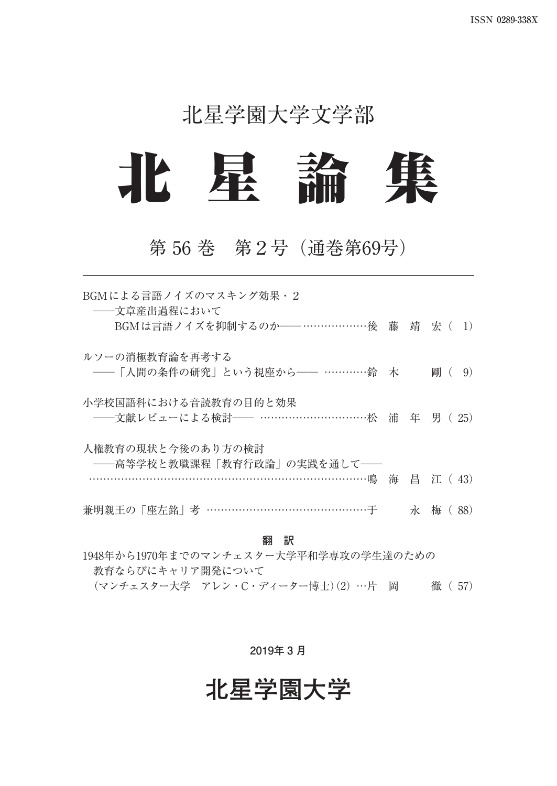### 北星学園大学文学部



### 第 56 巻 第2号(通巻第69号)

| BGMによる言語ノイズのマスキング効果·2<br>――文章産出過程において<br>BGMは言語ノイズを抑制するのか――………………後 藤 靖 宏 ( 1) |   |            |
|-------------------------------------------------------------------------------|---|------------|
| ルソーの消極教育論を再考する<br>——「人間の条件の研究」という視座から—— …………鈴 木                               |   | 鄙 (<br>9)  |
| 小学校国語科における音読教育の目的と効果<br>——文献レビューによる検討—— …………………………松 浦 年 男 (25)                |   |            |
| 人権教育の現状と今後のあり方の検討<br>---高等学校と教職課程「教育行政論」の実践を通して--                             |   | 海 昌 江 (43) |
| 兼明親王の「座左銘」考 ………………………………………于                                                  | 永 | 橀<br>88)   |

#### **翻 訳**

1948年から1970年までのマンチェスター大学平和学専攻の学生達のための 教育ならびにキャリア開発について (マンチェスター大学 アレン・C・ディーター博士)(2) …片 岡 徹( 57)

#### **2019年 3 月**

### **北星学園大学**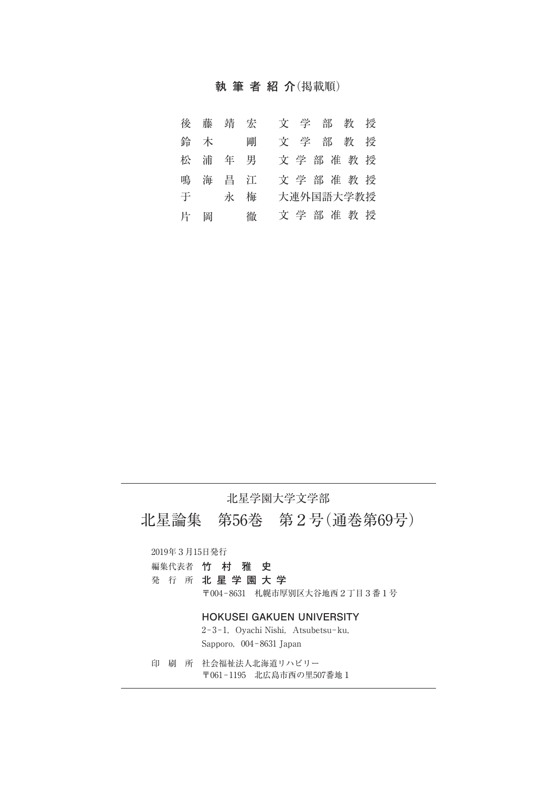### **執筆者紹介**(掲載順)

|   | 後藤  | 靖 宏   |  |  |  | 文学部教授     |  |
|---|-----|-------|--|--|--|-----------|--|
|   | 鈴 木 | 剛     |  |  |  | 文学部教授     |  |
|   |     | 松浦年男  |  |  |  | 文学部准教授    |  |
|   |     | 鳴海昌江  |  |  |  | 文学部准教授    |  |
|   |     | 于 永 梅 |  |  |  | 大連外国語大学教授 |  |
| 片 | 岡   | 徹     |  |  |  | 文学部准教授    |  |

#### 北星学園大学文学部

北星論集 第56巻 第2号(通巻第69号)

2019年3月15日発行

編集代表者 **竹 村 雅 史**

発 行 所 **北星学園大学**

〒004-8631 札幌市厚別区大谷地西2丁目3番1号

#### **HOKUSEI GAKUEN UNIVERSITY**

2-3-1, Oyachi Nishi, Atsubetsu-ku, Sapporo, 004-8631 Japan

印 刷 所 社会福祉法人北海道リハビリー 〒061-1195 北広島市西の里507番地1